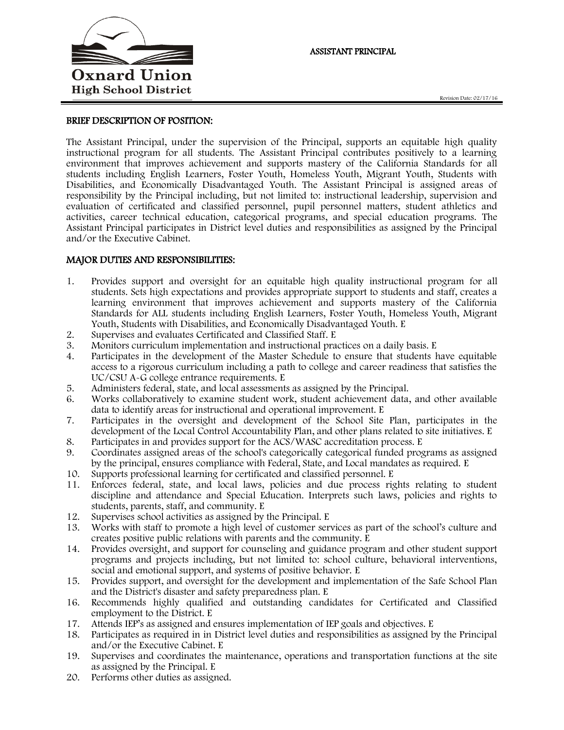

## BRIEF DESCRIPTION OF POSITION:

The Assistant Principal, under the supervision of the Principal, supports an equitable high quality instructional program for all students. The Assistant Principal contributes positively to a learning environment that improves achievement and supports mastery of the California Standards for all students including English Learners, Foster Youth, Homeless Youth, Migrant Youth, Students with Disabilities, and Economically Disadvantaged Youth. The Assistant Principal is assigned areas of responsibility by the Principal including, but not limited to: instructional leadership, supervision and evaluation of certificated and classified personnel, pupil personnel matters, student athletics and activities, career technical education, categorical programs, and special education programs. The Assistant Principal participates in District level duties and responsibilities as assigned by the Principal and/or the Executive Cabinet.

## MAJOR DUTIES AND RESPONSIBILITIES:

- 1. Provides support and oversight for an equitable high quality instructional program for all students. Sets high expectations and provides appropriate support to students and staff, creates a learning environment that improves achievement and supports mastery of the California Standards for ALL students including English Learners, Foster Youth, Homeless Youth, Migrant Youth, Students with Disabilities, and Economically Disadvantaged Youth. E
- 2. Supervises and evaluates Certificated and Classified Staff. E
- 3. Monitors curriculum implementation and instructional practices on a daily basis. E
- 4. Participates in the development of the Master Schedule to ensure that students have equitable access to a rigorous curriculum including a path to college and career readiness that satisfies the UC/CSU A-G college entrance requirements. E
- 5. Administers federal, state, and local assessments as assigned by the Principal.
- 6. Works collaboratively to examine student work, student achievement data, and other available data to identify areas for instructional and operational improvement. E
- 7. Participates in the oversight and development of the School Site Plan, participates in the development of the Local Control Accountability Plan, and other plans related to site initiatives. E
- 8. Participates in and provides support for the ACS/WASC accreditation process. E
- 9. Coordinates assigned areas of the school's categorically categorical funded programs as assigned by the principal, ensures compliance with Federal, State, and Local mandates as required. E
- 10. Supports professional learning for certificated and classified personnel. E
- 11. Enforces federal, state, and local laws, policies and due process rights relating to student discipline and attendance and Special Education. Interprets such laws, policies and rights to students, parents, staff, and community. E
- 12. Supervises school activities as assigned by the Principal. E
- 13. Works with staff to promote a high level of customer services as part of the school's culture and creates positive public relations with parents and the community. E
- 14. Provides oversight, and support for counseling and guidance program and other student support programs and projects including, but not limited to: school culture, behavioral interventions, social and emotional support, and systems of positive behavior. E
- 15. Provides support, and oversight for the development and implementation of the Safe School Plan and the District's disaster and safety preparedness plan. E
- 16. Recommends highly qualified and outstanding candidates for Certificated and Classified employment to the District. E
- 17. Attends IEP's as assigned and ensures implementation of IEP goals and objectives. E
- 18. Participates as required in in District level duties and responsibilities as assigned by the Principal and/or the Executive Cabinet. E
- 19. Supervises and coordinates the maintenance, operations and transportation functions at the site as assigned by the Principal. E
- 20. Performs other duties as assigned.